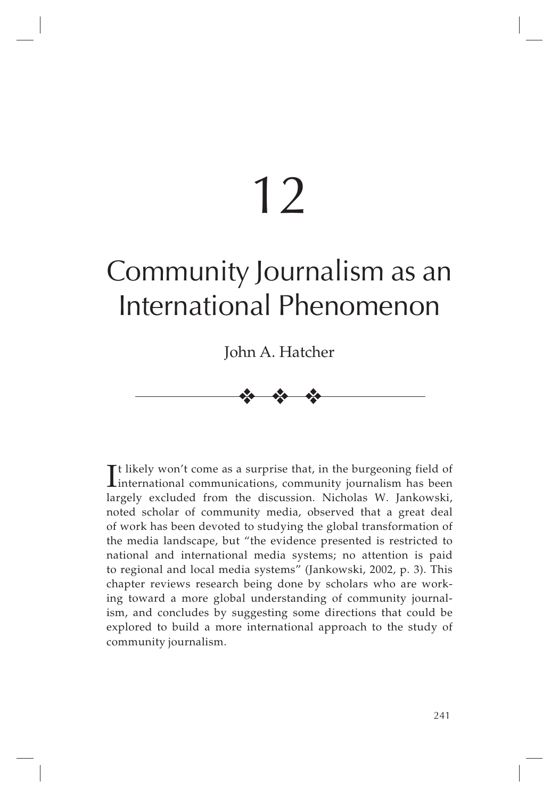# 12

# Community Journalism as an International Phenomenon

John A. Hatcher



 $\prod$ t likely won't come as a surprise that, in the burgeoning field of international communications, community journalism has been  $\mathsf{T}$ t likely won't come as a surprise that, in the burgeoning field of largely excluded from the discussion. Nicholas W. Jankowski, noted scholar of community media, observed that a great deal of work has been devoted to studying the global transformation of the media landscape, but "the evidence presented is restricted to national and international media systems; no attention is paid to regional and local media systems" (Jankowski, 2002, p. 3). This chapter reviews research being done by scholars who are working toward a more global understanding of community journalism, and concludes by suggesting some directions that could be explored to build a more international approach to the study of community journalism.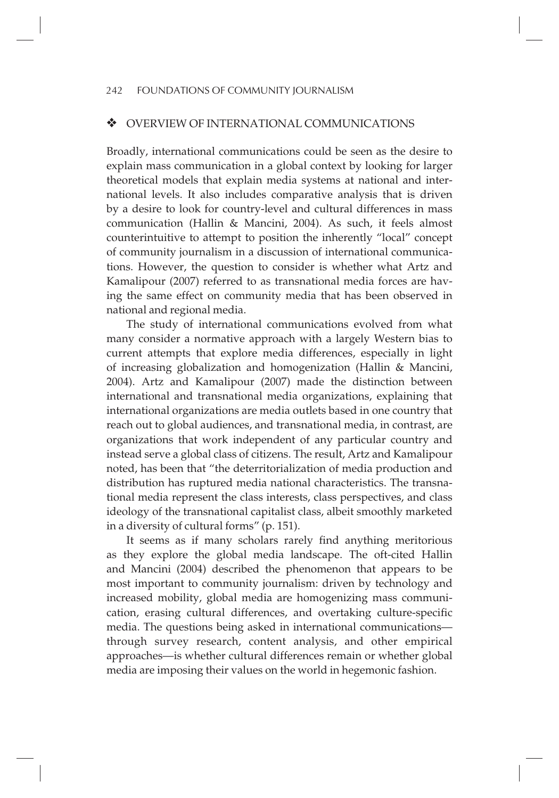# ❖ OVERVIEW OF INTERNATIONAL COMMUNICATIONS

 Broadly, international communications could be seen as the desire to explain mass communication in a global context by looking for larger theoretical models that explain media systems at national and international levels. It also includes comparative analysis that is driven by a desire to look for country-level and cultural differences in mass communication (Hallin & Mancini, 2004). As such, it feels almost counterintuitive to attempt to position the inherently "local" concept of community journalism in a discussion of international communications. However, the question to consider is whether what Artz and Kamalipour (2007) referred to as transnational media forces are having the same effect on community media that has been observed in national and regional media.

 The study of international communications evolved from what many consider a normative approach with a largely Western bias to current attempts that explore media differences, especially in light of increasing globalization and homogenization (Hallin & Mancini, 2004). Artz and Kamalipour (2007) made the distinction between international and transnational media organizations, explaining that international organizations are media outlets based in one country that reach out to global audiences, and transnational media, in contrast, are organizations that work independent of any particular country and instead serve a global class of citizens. The result, Artz and Kamalipour noted, has been that "the deterritorialization of media production and distribution has ruptured media national characteristics. The transnational media represent the class interests, class perspectives, and class ideology of the transnational capitalist class, albeit smoothly marketed in a diversity of cultural forms" (p. 151).

 It seems as if many scholars rarely find anything meritorious as they explore the global media landscape. The oft-cited Hallin and Mancini (2004) described the phenomenon that appears to be most important to community journalism: driven by technology and increased mobility, global media are homogenizing mass communication, erasing cultural differences, and overtaking culture-specific media. The questions being asked in international communications through survey research, content analysis, and other empirical approaches—is whether cultural differences remain or whether global media are imposing their values on the world in hegemonic fashion.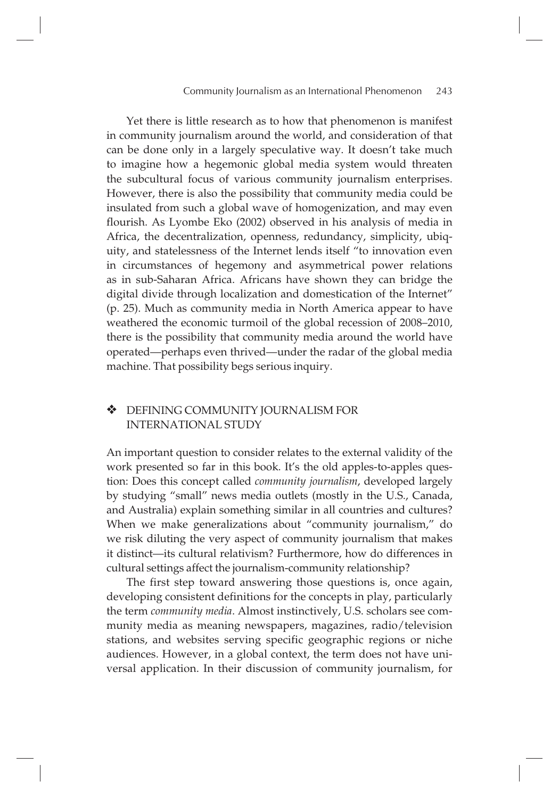Yet there is little research as to how that phenomenon is manifest in community journalism around the world, and consideration of that can be done only in a largely speculative way. It doesn't take much to imagine how a hegemonic global media system would threaten the subcultural focus of various community journalism enterprises. However, there is also the possibility that community media could be insulated from such a global wave of homogenization, and may even flourish. As Lyombe Eko (2002) observed in his analysis of media in Africa, the decentralization, openness, redundancy, simplicity, ubiquity, and statelessness of the Internet lends itself "to innovation even in circumstances of hegemony and asymmetrical power relations as in sub-Saharan Africa. Africans have shown they can bridge the digital divide through localization and domestication of the Internet" (p. 25). Much as community media in North America appear to have weathered the economic turmoil of the global recession of 2008–2010, there is the possibility that community media around the world have operated—perhaps even thrived—under the radar of the global media machine. That possibility begs serious inquiry.

# ❖ DEFINING COMMUNITY JOURNALISM FOR INTERNATIONAL STUDY

 An important question to consider relates to the external validity of the work presented so far in this book. It's the old apples-to-apples question: Does this concept called *community journalism*, developed largely by studying "small" news media outlets (mostly in the U.S., Canada, and Australia) explain something similar in all countries and cultures? When we make generalizations about "community journalism," do we risk diluting the very aspect of community journalism that makes it distinct—its cultural relativism? Furthermore, how do differences in cultural settings affect the journalism-community relationship?

 The first step toward answering those questions is, once again, developing consistent definitions for the concepts in play, particularly the term *community media* . Almost instinctively, U.S. scholars see community media as meaning newspapers, magazines, radio/television stations, and websites serving specific geographic regions or niche audiences. However, in a global context, the term does not have universal application. In their discussion of community journalism, for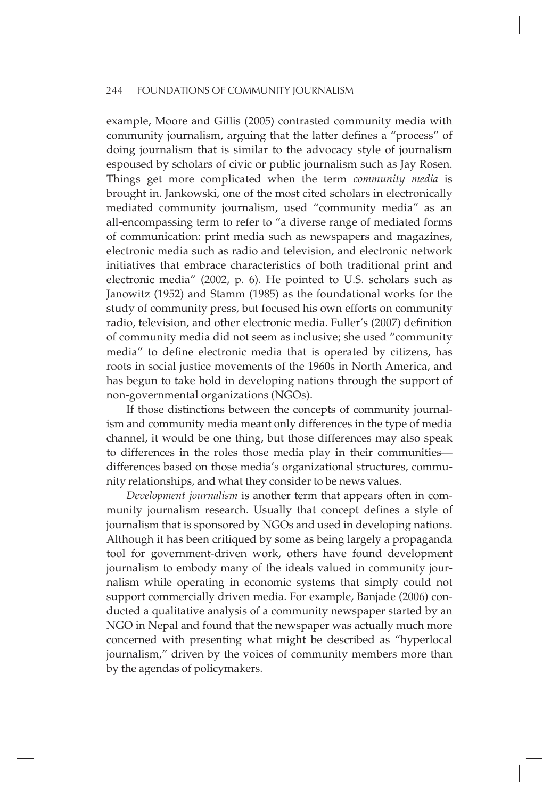example, Moore and Gillis (2005) contrasted community media with community journalism, arguing that the latter defines a "process" of doing journalism that is similar to the advocacy style of journalism espoused by scholars of civic or public journalism such as Jay Rosen. Things get more complicated when the term *community media* is brought in. Jankowski, one of the most cited scholars in electronically mediated community journalism, used "community media" as an all-encompassing term to refer to "a diverse range of mediated forms of communication: print media such as newspapers and magazines, electronic media such as radio and television, and electronic network initiatives that embrace characteristics of both traditional print and electronic media" (2002, p. 6). He pointed to U.S. scholars such as Janowitz (1952) and Stamm (1985) as the foundational works for the study of community press, but focused his own efforts on community radio, television, and other electronic media. Fuller's (2007) definition of community media did not seem as inclusive; she used "community media" to define electronic media that is operated by citizens, has roots in social justice movements of the 1960s in North America, and has begun to take hold in developing nations through the support of non-governmental organizations (NGOs).

 If those distinctions between the concepts of community journalism and community media meant only differences in the type of media channel, it would be one thing, but those differences may also speak to differences in the roles those media play in their communities differences based on those media's organizational structures, community relationships, and what they consider to be news values.

*Development journalism* is another term that appears often in community journalism research. Usually that concept defines a style of journalism that is sponsored by NGOs and used in developing nations. Although it has been critiqued by some as being largely a propaganda tool for government-driven work, others have found development journalism to embody many of the ideals valued in community journalism while operating in economic systems that simply could not support commercially driven media. For example, Banjade (2006) conducted a qualitative analysis of a community newspaper started by an NGO in Nepal and found that the newspaper was actually much more concerned with presenting what might be described as "hyperlocal journalism," driven by the voices of community members more than by the agendas of policymakers.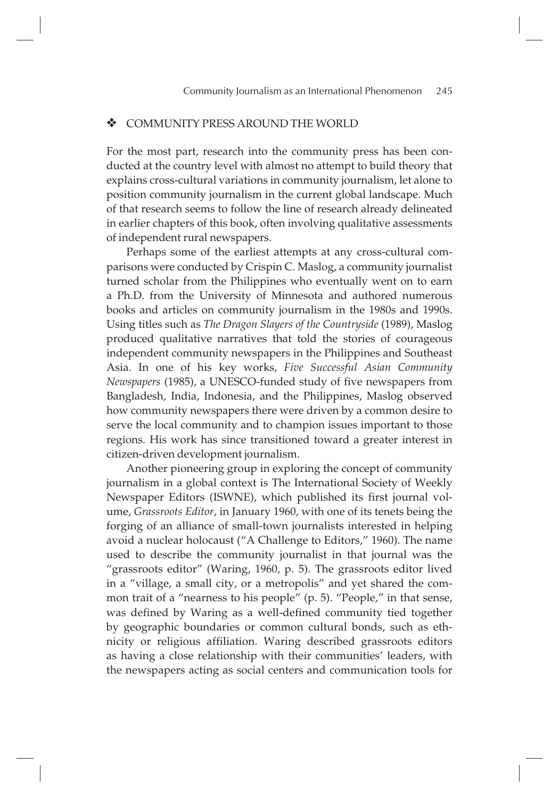# ❖ COMMUNITY PRESS AROUND THE WORLD

 For the most part, research into the community press has been conducted at the country level with almost no attempt to build theory that explains cross-cultural variations in community journalism, let alone to position community journalism in the current global landscape. Much of that research seems to follow the line of research already delineated in earlier chapters of this book, often involving qualitative assessments of independent rural newspapers.

 Perhaps some of the earliest attempts at any cross-cultural comparisons were conducted by Crispin C. Maslog, a community journalist turned scholar from the Philippines who eventually went on to earn a Ph.D. from the University of Minnesota and authored numerous books and articles on community journalism in the 1980s and 1990s. Using titles such as *The Dragon Slayers of the Countryside* (1989), Maslog produced qualitative narratives that told the stories of courageous independent community newspapers in the Philippines and Southeast Asia. In one of his key works, *Five Successful Asian Community Newspapers* (1985), a UNESCO-funded study of five newspapers from Bangladesh, India, Indonesia, and the Philippines, Maslog observed how community newspapers there were driven by a common desire to serve the local community and to champion issues important to those regions. His work has since transitioned toward a greater interest in citizen-driven development journalism.

 Another pioneering group in exploring the concept of community journalism in a global context is The International Society of Weekly Newspaper Editors (ISWNE), which published its first journal volume, *Grassroots Editor* , in January 1960, with one of its tenets being the forging of an alliance of small-town journalists interested in helping avoid a nuclear holocaust ("A Challenge to Editors," 1960). The name used to describe the community journalist in that journal was the "grassroots editor" (Waring, 1960, p. 5). The grassroots editor lived in a "village, a small city, or a metropolis" and yet shared the common trait of a "nearness to his people" (p. 5). "People," in that sense, was defined by Waring as a well-defined community tied together by geographic boundaries or common cultural bonds, such as ethnicity or religious affiliation. Waring described grassroots editors as having a close relationship with their communities' leaders, with the newspapers acting as social centers and communication tools for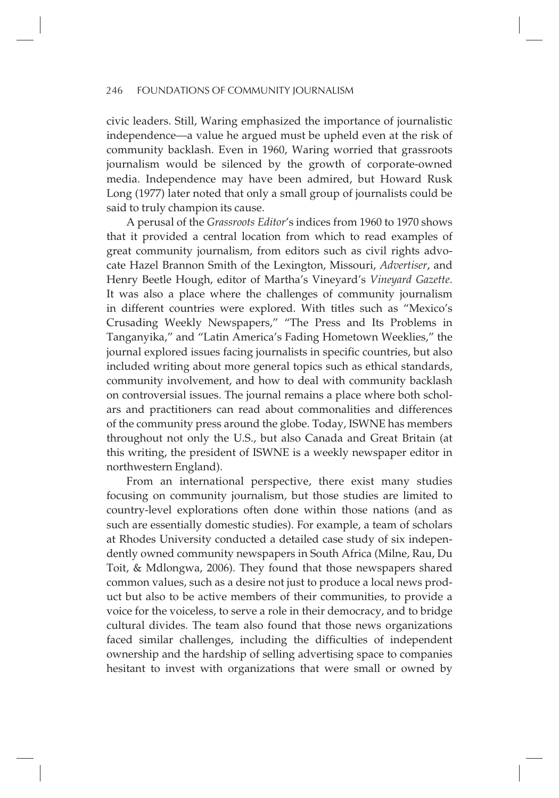civic leaders. Still, Waring emphasized the importance of journalistic independence—a value he argued must be upheld even at the risk of community backlash. Even in 1960, Waring worried that grassroots journalism would be silenced by the growth of corporate-owned media. Independence may have been admired, but Howard Rusk Long (1977) later noted that only a small group of journalists could be said to truly champion its cause.

 A perusal of the *Grassroots Editor* 's indices from 1960 to 1970 shows that it provided a central location from which to read examples of great community journalism, from editors such as civil rights advocate Hazel Brannon Smith of the Lexington, Missouri, *Advertiser* , and Henry Beetle Hough, editor of Martha's Vineyard's *Vineyard Gazette* . It was also a place where the challenges of community journalism in different countries were explored. With titles such as "Mexico's Crusading Weekly Newspapers," "The Press and Its Problems in Tanganyika," and "Latin America's Fading Hometown Weeklies," the journal explored issues facing journalists in specific countries, but also included writing about more general topics such as ethical standards, community involvement, and how to deal with community backlash on controversial issues. The journal remains a place where both scholars and practitioners can read about commonalities and differences of the community press around the globe. Today, ISWNE has members throughout not only the U.S., but also Canada and Great Britain (at this writing, the president of ISWNE is a weekly newspaper editor in northwestern England).

 From an international perspective, there exist many studies focusing on community journalism, but those studies are limited to country-level explorations often done within those nations (and as such are essentially domestic studies). For example, a team of scholars at Rhodes University conducted a detailed case study of six independently owned community newspapers in South Africa (Milne, Rau, Du Toit, & Mdlongwa, 2006). They found that those newspapers shared common values, such as a desire not just to produce a local news product but also to be active members of their communities, to provide a voice for the voiceless, to serve a role in their democracy, and to bridge cultural divides. The team also found that those news organizations faced similar challenges, including the difficulties of independent ownership and the hardship of selling advertising space to companies hesitant to invest with organizations that were small or owned by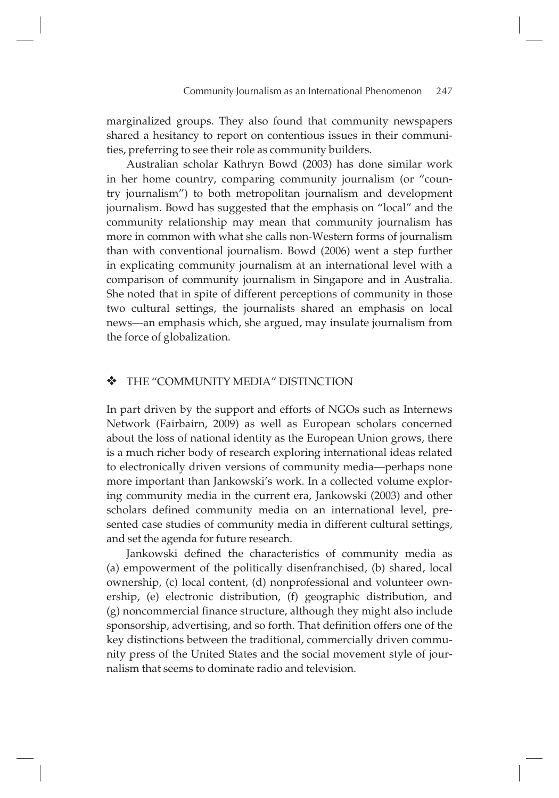marginalized groups. They also found that community newspapers shared a hesitancy to report on contentious issues in their communities, preferring to see their role as community builders.

 Australian scholar Kathryn Bowd (2003) has done similar work in her home country, comparing community journalism (or "country journalism") to both metropolitan journalism and development journalism. Bowd has suggested that the emphasis on "local" and the community relationship may mean that community journalism has more in common with what she calls non-Western forms of journalism than with conventional journalism. Bowd (2006) went a step further in explicating community journalism at an international level with a comparison of community journalism in Singapore and in Australia. She noted that in spite of different perceptions of community in those two cultural settings, the journalists shared an emphasis on local news—an emphasis which, she argued, may insulate journalism from the force of globalization.

# ❖ THE "COMMUNITY MEDIA" DISTINCTION

 In part driven by the support and efforts of NGOs such as Internews Network (Fairbairn, 2009) as well as European scholars concerned about the loss of national identity as the European Union grows, there is a much richer body of research exploring international ideas related to electronically driven versions of community media—perhaps none more important than Jankowski's work. In a collected volume exploring community media in the current era, Jankowski (2003) and other scholars defined community media on an international level, presented case studies of community media in different cultural settings, and set the agenda for future research.

 Jankowski defined the characteristics of community media as (a) empowerment of the politically disenfranchised, (b) shared, local ownership, (c) local content, (d) nonprofessional and volunteer ownership, (e) electronic distribution, (f) geographic distribution, and (g) noncommercial finance structure, although they might also include sponsorship, advertising, and so forth. That definition offers one of the key distinctions between the traditional, commercially driven community press of the United States and the social movement style of journalism that seems to dominate radio and television.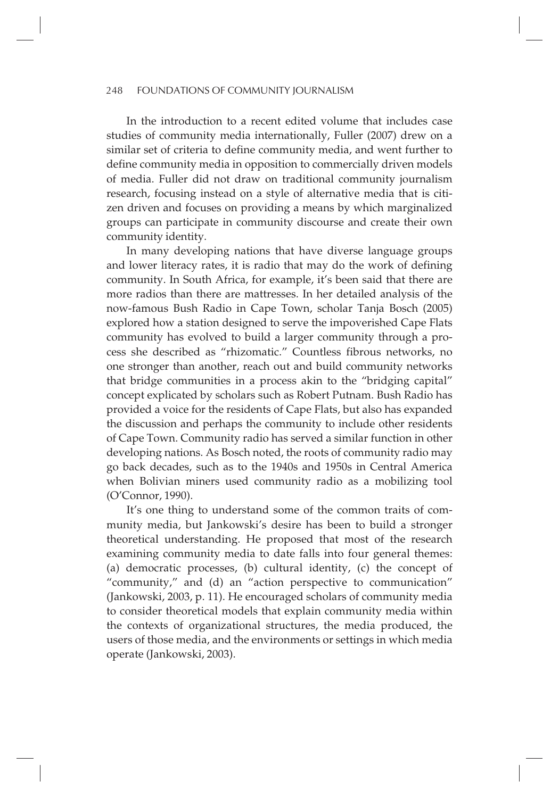In the introduction to a recent edited volume that includes case studies of community media internationally, Fuller (2007) drew on a similar set of criteria to define community media, and went further to define community media in opposition to commercially driven models of media. Fuller did not draw on traditional community journalism research, focusing instead on a style of alternative media that is citizen driven and focuses on providing a means by which marginalized groups can participate in community discourse and create their own community identity.

 In many developing nations that have diverse language groups and lower literacy rates, it is radio that may do the work of defining community. In South Africa, for example, it's been said that there are more radios than there are mattresses. In her detailed analysis of the now-famous Bush Radio in Cape Town, scholar Tanja Bosch (2005) explored how a station designed to serve the impoverished Cape Flats community has evolved to build a larger community through a process she described as "rhizomatic." Countless fibrous networks, no one stronger than another, reach out and build community networks that bridge communities in a process akin to the "bridging capital" concept explicated by scholars such as Robert Putnam. Bush Radio has provided a voice for the residents of Cape Flats, but also has expanded the discussion and perhaps the community to include other residents of Cape Town. Community radio has served a similar function in other developing nations. As Bosch noted, the roots of community radio may go back decades, such as to the 1940s and 1950s in Central America when Bolivian miners used community radio as a mobilizing tool (O'Connor, 1990).

 It's one thing to understand some of the common traits of community media, but Jankowski's desire has been to build a stronger theoretical understanding. He proposed that most of the research examining community media to date falls into four general themes: (a) democratic processes, (b) cultural identity, (c) the concept of "community," and (d) an "action perspective to communication" (Jankowski, 2003, p. 11). He encouraged scholars of community media to consider theoretical models that explain community media within the contexts of organizational structures, the media produced, the users of those media, and the environments or settings in which media operate (Jankowski, 2003).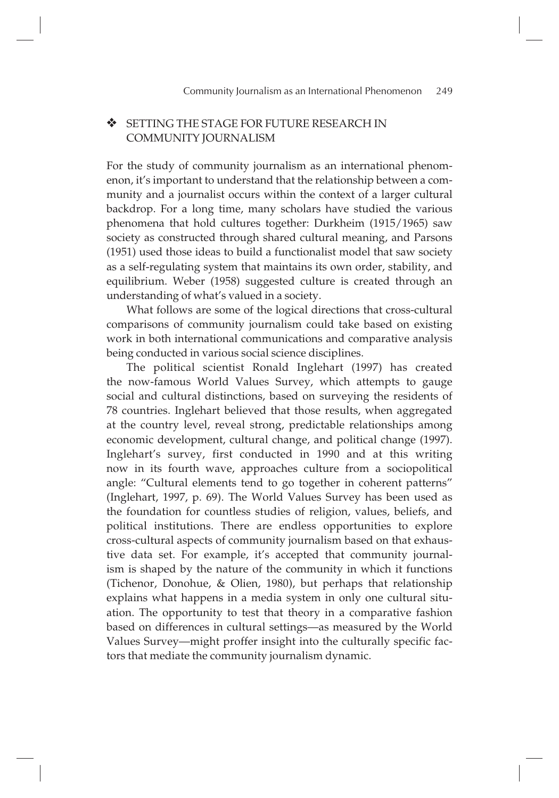# ❖ SETTING THE STAGE FOR FUTURE RESEARCH IN COMMUNITY JOURNALISM

 For the study of community journalism as an international phenomenon, it's important to understand that the relationship between a community and a journalist occurs within the context of a larger cultural backdrop. For a long time, many scholars have studied the various phenomena that hold cultures together: Durkheim (1915/1965) saw society as constructed through shared cultural meaning, and Parsons (1951) used those ideas to build a functionalist model that saw society as a self-regulating system that maintains its own order, stability, and equilibrium. Weber (1958) suggested culture is created through an understanding of what's valued in a society.

 What follows are some of the logical directions that cross-cultural comparisons of community journalism could take based on existing work in both international communications and comparative analysis being conducted in various social science disciplines.

 The political scientist Ronald Inglehart (1997) has created the now-famous World Values Survey, which attempts to gauge social and cultural distinctions, based on surveying the residents of 78 countries. Inglehart believed that those results, when aggregated at the country level, reveal strong, predictable relationships among economic development, cultural change, and political change (1997). Inglehart's survey, first conducted in 1990 and at this writing now in its fourth wave, approaches culture from a sociopolitical angle: "Cultural elements tend to go together in coherent patterns" (Inglehart, 1997, p. 69). The World Values Survey has been used as the foundation for countless studies of religion, values, beliefs, and political institutions. There are endless opportunities to explore cross- cultural aspects of community journalism based on that exhaustive data set. For example, it's accepted that community journalism is shaped by the nature of the community in which it functions (Tichenor, Donohue, & Olien, 1980), but perhaps that relationship explains what happens in a media system in only one cultural situation. The opportunity to test that theory in a comparative fashion based on differences in cultural settings—as measured by the World Values Survey—might proffer insight into the culturally specific factors that mediate the community journalism dynamic.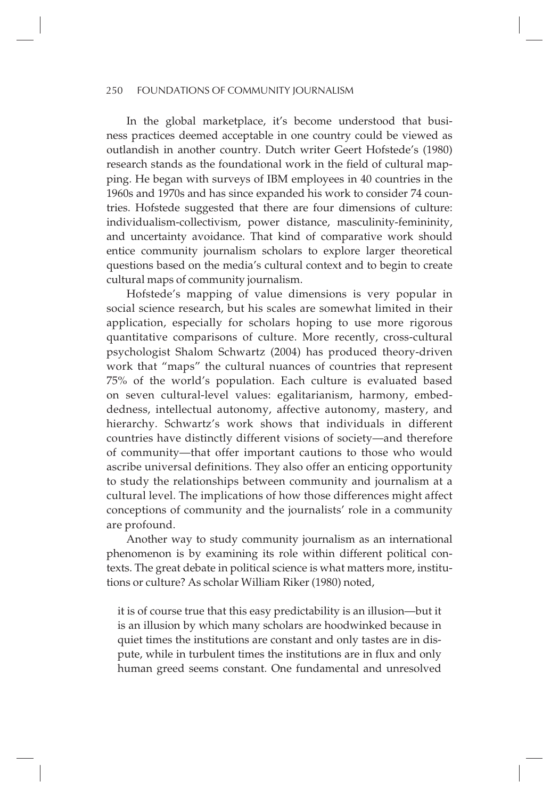In the global marketplace, it's become understood that business practices deemed acceptable in one country could be viewed as outlandish in another country. Dutch writer Geert Hofstede's (1980) research stands as the foundational work in the field of cultural mapping. He began with surveys of IBM employees in 40 countries in the 1960s and 1970s and has since expanded his work to consider 74 countries. Hofstede suggested that there are four dimensions of culture: individualism-collectivism, power distance, masculinity-femininity, and uncertainty avoidance. That kind of comparative work should entice community journalism scholars to explore larger theoretical questions based on the media's cultural context and to begin to create cultural maps of community journalism.

 Hofstede's mapping of value dimensions is very popular in social science research, but his scales are somewhat limited in their application, especially for scholars hoping to use more rigorous quantitative comparisons of culture. More recently, cross-cultural psychologist Shalom Schwartz (2004) has produced theory-driven work that "maps" the cultural nuances of countries that represent 75% of the world's population. Each culture is evaluated based on seven cultural-level values: egalitarianism, harmony, embeddedness, intellectual autonomy, affective autonomy, mastery, and hierarchy. Schwartz's work shows that individuals in different countries have distinctly different visions of society—and therefore of community—that offer important cautions to those who would ascribe universal definitions. They also offer an enticing opportunity to study the relationships between community and journalism at a cultural level. The implications of how those differences might affect conceptions of community and the journalists' role in a community are profound.

 Another way to study community journalism as an international phenomenon is by examining its role within different political contexts. The great debate in political science is what matters more, institutions or culture? As scholar William Riker (1980) noted,

 it is of course true that this easy predictability is an illusion—but it is an illusion by which many scholars are hoodwinked because in quiet times the institutions are constant and only tastes are in dispute, while in turbulent times the institutions are in flux and only human greed seems constant. One fundamental and unresolved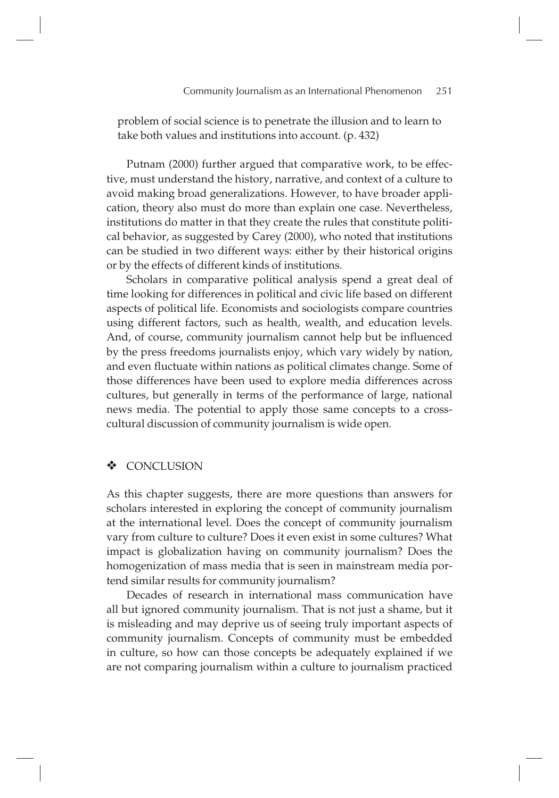problem of social science is to penetrate the illusion and to learn to take both values and institutions into account. (p. 432)

 Putnam (2000) further argued that comparative work, to be effective, must understand the history, narrative, and context of a culture to avoid making broad generalizations. However, to have broader application, theory also must do more than explain one case. Nevertheless, institutions do matter in that they create the rules that constitute political behavior, as suggested by Carey (2000), who noted that institutions can be studied in two different ways: either by their historical origins or by the effects of different kinds of institutions.

 Scholars in comparative political analysis spend a great deal of time looking for differences in political and civic life based on different aspects of political life. Economists and sociologists compare countries using different factors, such as health, wealth, and education levels. And, of course, community journalism cannot help but be influenced by the press freedoms journalists enjoy, which vary widely by nation, and even fluctuate within nations as political climates change. Some of those differences have been used to explore media differences across cultures, but generally in terms of the performance of large, national news media. The potential to apply those same concepts to a crosscultural discussion of community journalism is wide open.

# **CONCLUSION**

 As this chapter suggests, there are more questions than answers for scholars interested in exploring the concept of community journalism at the international level. Does the concept of community journalism vary from culture to culture? Does it even exist in some cultures? What impact is globalization having on community journalism? Does the homogenization of mass media that is seen in mainstream media portend similar results for community journalism?

 Decades of research in international mass communication have all but ignored community journalism. That is not just a shame, but it is misleading and may deprive us of seeing truly important aspects of community journalism. Concepts of community must be embedded in culture, so how can those concepts be adequately explained if we are not comparing journalism within a culture to journalism practiced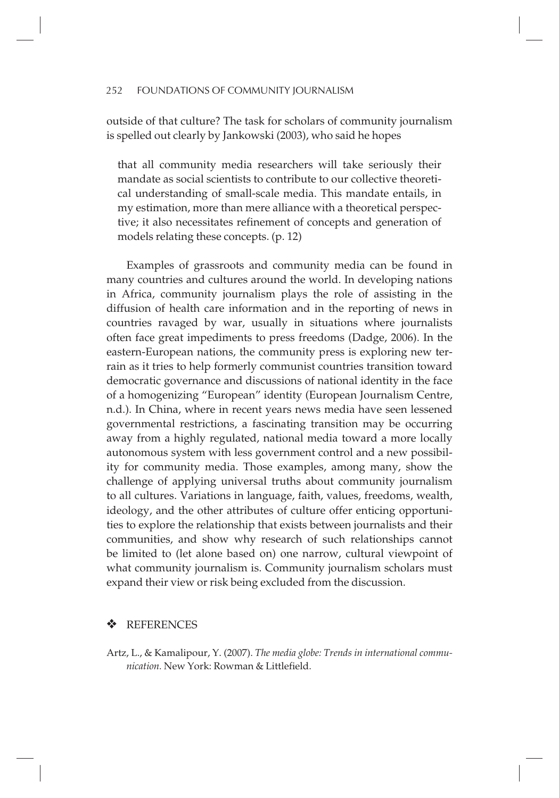outside of that culture? The task for scholars of community journalism is spelled out clearly by Jankowski (2003), who said he hopes

 that all community media researchers will take seriously their mandate as social scientists to contribute to our collective theoretical understanding of small-scale media. This mandate entails, in my estimation, more than mere alliance with a theoretical perspective; it also necessitates refinement of concepts and generation of models relating these concepts. (p. 12)

 Examples of grassroots and community media can be found in many countries and cultures around the world. In developing nations in Africa, community journalism plays the role of assisting in the diffusion of health care information and in the reporting of news in countries ravaged by war, usually in situations where journalists often face great impediments to press freedoms (Dadge, 2006). In the eastern-European nations, the community press is exploring new terrain as it tries to help formerly communist countries transition toward democratic governance and discussions of national identity in the face of a homogenizing "European" identity (European Journalism Centre, n.d.). In China, where in recent years news media have seen lessened governmental restrictions, a fascinating transition may be occurring away from a highly regulated, national media toward a more locally autonomous system with less government control and a new possibility for community media. Those examples, among many, show the challenge of applying universal truths about community journalism to all cultures. Variations in language, faith, values, freedoms, wealth, ideology, and the other attributes of culture offer enticing opportunities to explore the relationship that exists between journalists and their communities, and show why research of such relationships cannot be limited to (let alone based on) one narrow, cultural viewpoint of what community journalism is. Community journalism scholars must expand their view or risk being excluded from the discussion.

# **REFERENCES**

 Artz, L., & Kamalipour, Y. (2007). *The media globe: Trends in international communication.* New York: Rowman & Littlefield.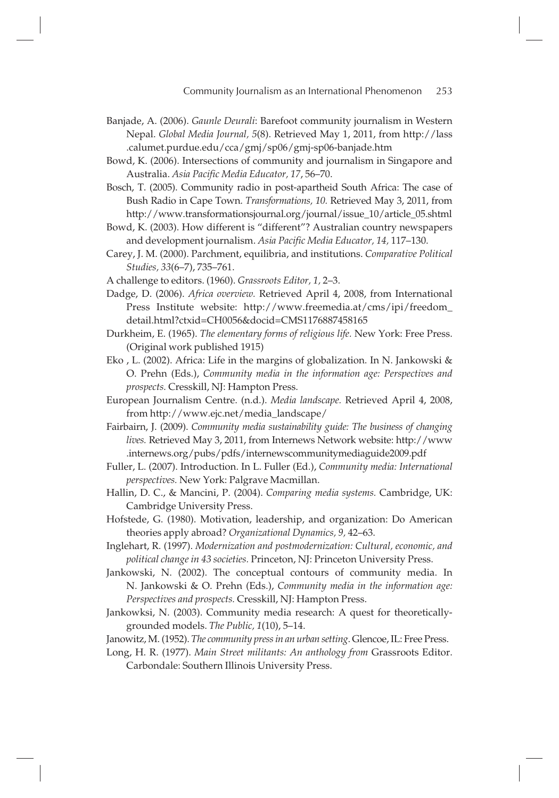- Banjade, A. (2006). *Gaunle Deurali* : Barefoot community journalism in Western Nepal. *Global Media Journal, 5* (8). Retrieved May 1, 2011, from http://lass .calumet.purdue.edu/cca/gmj/sp06/gmj-sp06-banjade.htm
- Bowd, K. (2006). Intersections of community and journalism in Singapore and Australia. *Asia Pacific Media Educator, 17* , 56–70.
- Bosch, T. (2005). Community radio in post-apartheid South Africa: The case of Bush Radio in Cape Town. *Transformations, 10.* Retrieved May 3, 2011, from http://www.transformationsjournal.org/journal/issue\_10/article\_05.shtml

 Bowd, K. (2003). How different is "different"? Australian country newspapers and development journalism. *Asia Pacific Media Educator, 14,* 117–130.

- Carey, J. M. (2000). Parchment, equilibria, and institutions. *Comparative Political Studies, 33* (6–7), 735–761.
- A challenge to editors. (1960). *Grassroots Editor, 1,* 2–3.
- Dadge, D. (2006). *Africa overview.* Retrieved April 4, 2008, from International Press Institute website: http://www.freemedia.at/cms/ipi/freedom\_ detail.html?ctxid=CH0056&docid=CMS1176887458165
- Durkheim, E. (1965). *The elementary forms of religious life.* New York: Free Press. (Original work published 1915)
- Eko , L. (2002). Africa: Life in the margins of globalization. In N. Jankowski & O. Prehn (Eds.), *Community media in the information age: Perspectives and prospects.* Cresskill, NJ: Hampton Press.
- European Journalism Centre. (n.d.). *Media landscape.* Retrieved April 4, 2008, from http://www.ejc.net/media\_landscape/
- Fairbairn, J. (2009). *Community media sustainability guide: The business of changing lives.* Retrieved May 3, 2011, from Internews Network website: http://www .internews.org/pubs/pdfs/internewscommunitymediaguide2009.pdf
- Fuller, L. (2007). Introduction. In L. Fuller (Ed.), *Community media: International perspectives.* New York: Palgrave Macmillan.
- Hallin, D. C., & Mancini, P. (2004). *Comparing media systems.* Cambridge, UK: Cambridge University Press.
- Hofstede, G. (1980). Motivation, leadership, and organization: Do American theories apply abroad? *Organizational Dynamics, 9,* 42–63.
- Inglehart, R. (1997). *Modernization and postmodernization: Cultural, economic, and political change in 43 societies.* Princeton, NJ: Princeton University Press.
- Jankowski, N. (2002). The conceptual contours of community media. In N. Jankowski & O. Prehn (Eds.), *Community media in the information age: Perspectives and prospects.* Cresskill, NJ: Hampton Press.
- Jankowksi, N. (2003). Community media research: A quest for theoreticallygrounded models. *The Public, 1* (10), 5–14.
- Janowitz, M. (1952). *The community press in an urban setting* . Glencoe, IL: Free Press.
- Long, H. R. (1977). *Main Street militants: An anthology from* Grassroots Editor. Carbondale: Southern Illinois University Press.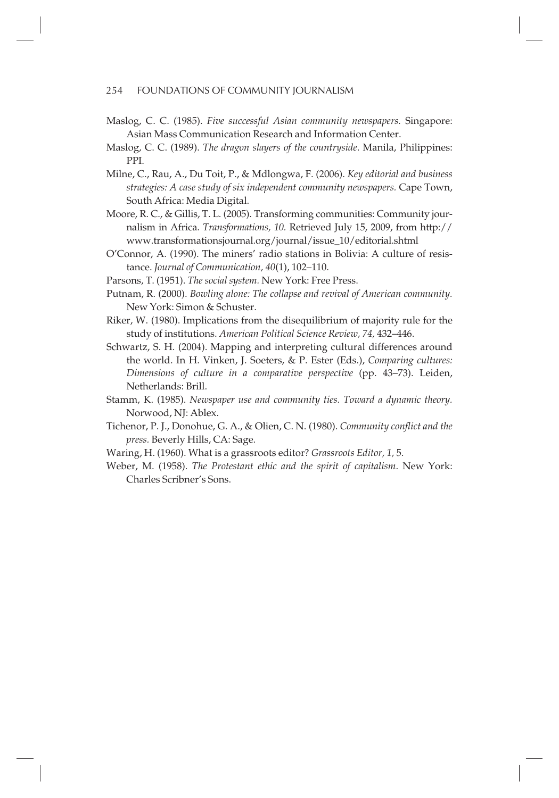- Maslog, C. C. (1985). *Five successful Asian community newspapers.* Singapore: Asian Mass Communication Research and Information Center.
- Maslog, C. C. (1989). *The dragon slayers of the countryside* . Manila, Philippines: PPI.
- Milne, C., Rau, A., Du Toit, P., & Mdlongwa, F. (2006). *Key editorial and business strategies: A case study of six independent community newspapers.* Cape Town, South Africa: Media Digital.
- Moore, R. C., & Gillis, T. L. (2005). Transforming communities: Community journalism in Africa. *Transformations, 10.* Retrieved July 15, 2009, from http:// www.transformationsjournal.org/journal/issue\_10/editorial.shtml
- O'Connor, A. (1990). The miners' radio stations in Bolivia: A culture of resistance. *Journal of Communication*, 40(1), 102-110.
- Parsons, T. (1951). *The social system.* New York: Free Press.
- Putnam, R. (2000). *Bowling alone: The collapse and revival of American community.* New York: Simon & Schuster.
- Riker, W. (1980). Implications from the disequilibrium of majority rule for the study of institutions. *American Political Science Review, 74,* 432–446.
- Schwartz, S. H. (2004). Mapping and interpreting cultural differences around the world. In H. Vinken, J. Soeters, & P. Ester (Eds.), *Comparing cultures: Dimensions of culture in a comparative perspective* (pp. 43–73). Leiden, Netherlands: Brill.
- Stamm, K. (1985). *Newspaper use and community ties. Toward a dynamic theory.* Norwood, NJ: Ablex.
- Tichenor, P. J., Donohue, G. A., & Olien, C. N. (1980). *Community conflict and the press.* Beverly Hills, CA: Sage.
- Waring, H. (1960). What is a grassroots editor? *Grassroots Editor, 1,* 5.
- Weber, M. (1958). *The Protestant ethic and the spirit of capitalism*. New York: Charles Scribner's Sons.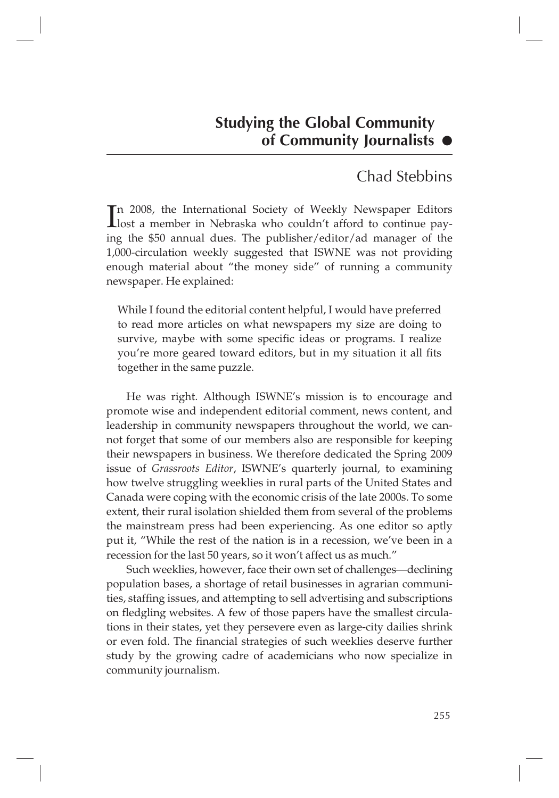# **Studying the Global Community of Community Journalists** ●

# Chad Stebbins

In 2008, the International Society of Weekly Newspaper Editors<br>lost a member in Nebraska who couldn't afford to continue pay-**L**lost a member in Nebraska who couldn't afford to continue paying the \$50 annual dues. The publisher/editor/ad manager of the 1,000-circulation weekly suggested that ISWNE was not providing enough material about "the money side" of running a community newspaper. He explained:

 While I found the editorial content helpful, I would have preferred to read more articles on what newspapers my size are doing to survive, maybe with some specific ideas or programs. I realize you're more geared toward editors, but in my situation it all fits together in the same puzzle.

 He was right. Although ISWNE's mission is to encourage and promote wise and independent editorial comment, news content, and leadership in community newspapers throughout the world, we cannot forget that some of our members also are responsible for keeping their newspapers in business. We therefore dedicated the Spring 2009 issue of *Grassroots Editor*, ISWNE's quarterly journal, to examining how twelve struggling weeklies in rural parts of the United States and Canada were coping with the economic crisis of the late 2000s. To some extent, their rural isolation shielded them from several of the problems the mainstream press had been experiencing. As one editor so aptly put it, "While the rest of the nation is in a recession, we've been in a recession for the last 50 years, so it won't affect us as much."

 Such weeklies, however, face their own set of challenges—declining population bases, a shortage of retail businesses in agrarian communities, staffing issues, and attempting to sell advertising and subscriptions on fledgling websites. A few of those papers have the smallest circulations in their states, yet they persevere even as large-city dailies shrink or even fold. The financial strategies of such weeklies deserve further study by the growing cadre of academicians who now specialize in community journalism.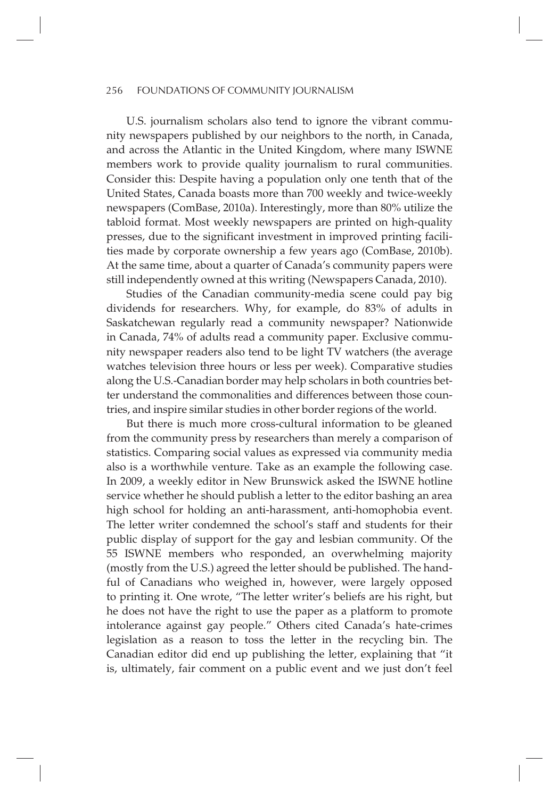U.S. journalism scholars also tend to ignore the vibrant community newspapers published by our neighbors to the north, in Canada, and across the Atlantic in the United Kingdom, where many ISWNE members work to provide quality journalism to rural communities. Consider this: Despite having a population only one tenth that of the United States, Canada boasts more than 700 weekly and twice-weekly newspapers (ComBase, 2010a). Interestingly, more than 80% utilize the tabloid format. Most weekly newspapers are printed on high-quality presses, due to the significant investment in improved printing facilities made by corporate ownership a few years ago (ComBase, 2010b). At the same time, about a quarter of Canada's community papers were still independently owned at this writing (Newspapers Canada, 2010).

 Studies of the Canadian community-media scene could pay big dividends for researchers. Why, for example, do 83% of adults in Saskatchewan regularly read a community newspaper? Nationwide in Canada, 74% of adults read a community paper. Exclusive community newspaper readers also tend to be light TV watchers (the average watches television three hours or less per week). Comparative studies along the U.S.-Canadian border may help scholars in both countries better understand the commonalities and differences between those countries, and inspire similar studies in other border regions of the world.

 But there is much more cross-cultural information to be gleaned from the community press by researchers than merely a comparison of statistics. Comparing social values as expressed via community media also is a worthwhile venture. Take as an example the following case. In 2009, a weekly editor in New Brunswick asked the ISWNE hotline service whether he should publish a letter to the editor bashing an area high school for holding an anti-harassment, anti-homophobia event. The letter writer condemned the school's staff and students for their public display of support for the gay and lesbian community. Of the 55 ISWNE members who responded, an overwhelming majority (mostly from the U.S.) agreed the letter should be published. The handful of Canadians who weighed in, however, were largely opposed to printing it. One wrote, "The letter writer's beliefs are his right, but he does not have the right to use the paper as a platform to promote intolerance against gay people." Others cited Canada's hate-crimes legislation as a reason to toss the letter in the recycling bin. The Canadian editor did end up publishing the letter, explaining that "it is, ultimately, fair comment on a public event and we just don't feel